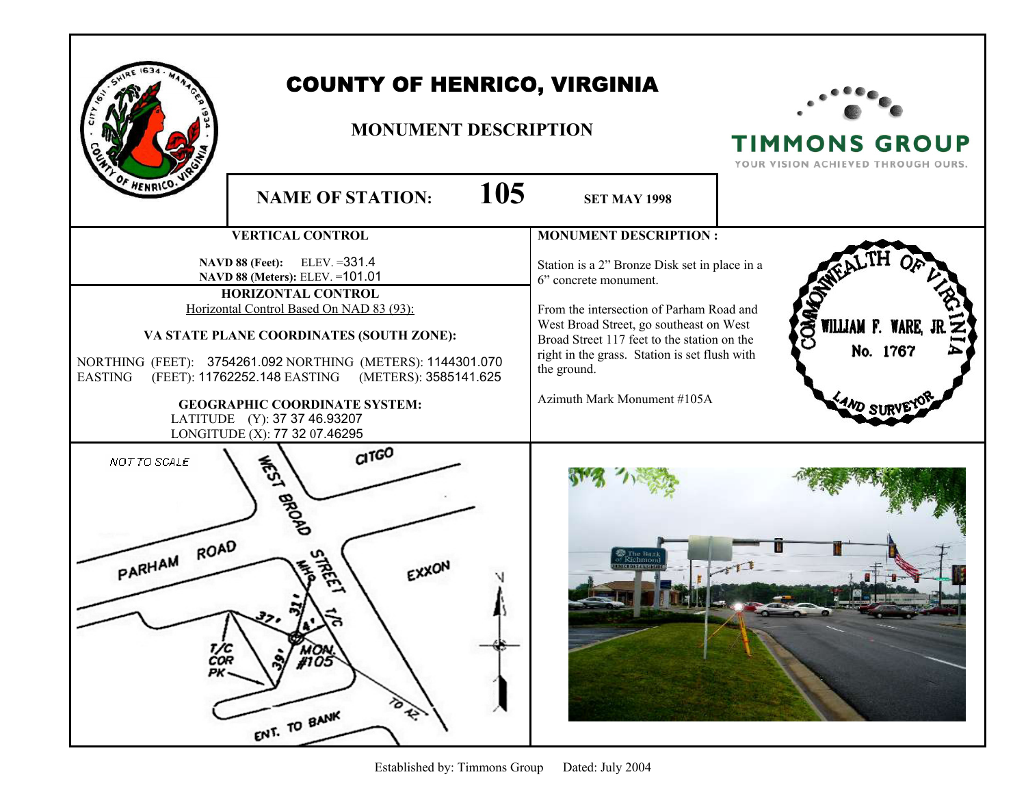| HENRICO.                                                                                                                                                                                                                                                                                                                                                               | <b>COUNTY OF HENRICO, VIRGINIA</b><br><b>MONUMENT DESCRIPTION</b><br>105<br><b>NAME OF STATION:</b>   |                                                                                                                                                                                                                                   | <b>TIMMONS GROUP</b><br>YOUR VISION ACHIEVED THROUGH OURS. |
|------------------------------------------------------------------------------------------------------------------------------------------------------------------------------------------------------------------------------------------------------------------------------------------------------------------------------------------------------------------------|-------------------------------------------------------------------------------------------------------|-----------------------------------------------------------------------------------------------------------------------------------------------------------------------------------------------------------------------------------|------------------------------------------------------------|
|                                                                                                                                                                                                                                                                                                                                                                        |                                                                                                       | <b>SET MAY 1998</b>                                                                                                                                                                                                               |                                                            |
|                                                                                                                                                                                                                                                                                                                                                                        | <b>VERTICAL CONTROL</b>                                                                               | <b>MONUMENT DESCRIPTION:</b>                                                                                                                                                                                                      |                                                            |
| $ELEV. = 331.4$<br><b>NAVD 88 (Feet):</b><br>NAVD 88 (Meters): ELEV. = 101.01<br>HORIZONTAL CONTROL<br>Horizontal Control Based On NAD 83 (93):<br>VA STATE PLANE COORDINATES (SOUTH ZONE):<br>NORTHING (FEET): 3754261.092 NORTHING (METERS): 1144301.070<br>(FEET): 11762252.148 EASTING<br>(METERS): 3585141.625<br>EASTING<br><b>GEOGRAPHIC COORDINATE SYSTEM:</b> |                                                                                                       | Station is a 2" Bronze Disk set in place in a<br>6" concrete monument.                                                                                                                                                            |                                                            |
|                                                                                                                                                                                                                                                                                                                                                                        |                                                                                                       | From the intersection of Parham Road and<br>West Broad Street, go southeast on West<br>Broad Street 117 feet to the station on the<br>right in the grass. Station is set flush with<br>the ground.<br>Azimuth Mark Monument #105A | දි<br>WILLIAM F. WARE, J<br>No. 1767                       |
| NOT TO SCALE                                                                                                                                                                                                                                                                                                                                                           | LATITUDE (Y): 37 37 46.93207<br>LONGITUDE (X): 77 32 07.46295<br>$C1T$ $G$ <sup>O</sup><br><b>EDT</b> |                                                                                                                                                                                                                                   |                                                            |
| PARHAM ROAD<br>T/C<br>COR<br>PK-                                                                                                                                                                                                                                                                                                                                       | <b>BROAD</b><br>$\vec{x}$<br>MON<br>#105<br>to R.<br>ENT. TO BANK                                     |                                                                                                                                                                                                                                   |                                                            |